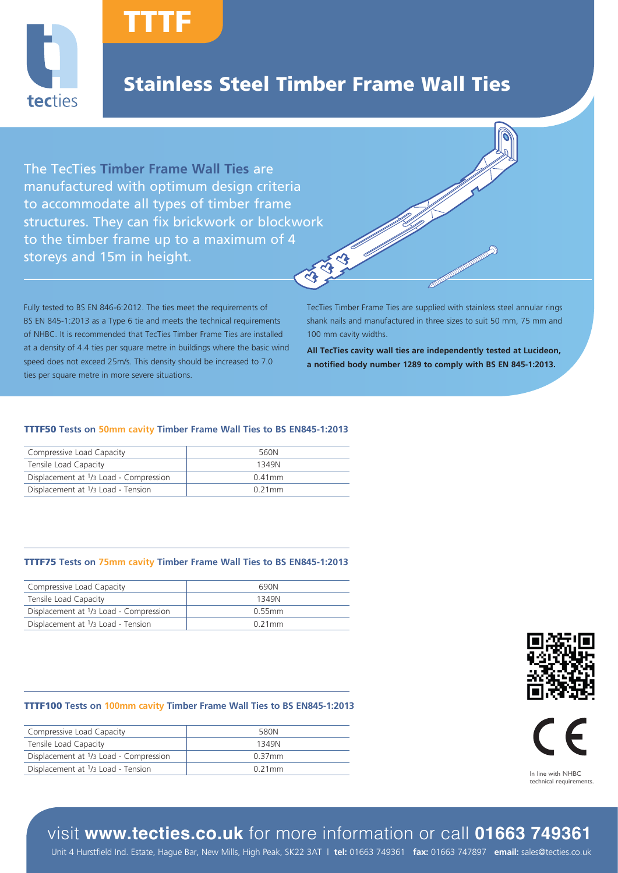

## Stainless Steel Timber Frame Wall Ties

- II

The TecTies **Timber Frame Wall Ties** are manufactured with optimum design criteria to accommodate all types of timber frame structures. They can fix brickwork or blockwork to the timber frame up to a maximum of 4 113-13 storeys and 15m in height.

TTTF

Fully tested to BS EN 846-6:2012. The ties meet the requirements of BS EN 845-1:2013 as a Type 6 tie and meets the technical requirements of NHBC. It is recommended that TecTies Timber Frame Ties are installed at a density of 4.4 ties per square metre in buildings where the basic wind speed does not exceed 25m/s. This density should be increased to 7.0 ties per square metre in more severe situations.

TecTies Timber Frame Ties are supplied with stainless steel annular rings shank nails and manufactured in three sizes to suit 50 mm, 75 mm and 100 mm cavity widths.

**ALGORITHM** 

**All TecTies cavity wall ties are independently tested at Lucideon, a notified body number 1289 to comply with BS EN 845-1:2013.**

### TTTF50 **Tests on 50mm cavity Timber Frame Wall Ties to BS EN845-1:2013**

| Compressive Load Capacity                                      | 560N      |
|----------------------------------------------------------------|-----------|
| Tensile Load Capacity                                          | 1349N     |
| Displacement at <sup>1</sup> / <sub>3</sub> Load - Compression | $0.41$ mm |
| Displacement at <sup>1</sup> / <sub>3</sub> Load - Tension     | 0.21 mm   |

### TTTF75 **Tests on 75mm cavity Timber Frame Wall Ties to BS EN845-1:2013**

| Compressive Load Capacity              | 690N    |
|----------------------------------------|---------|
| Tensile Load Capacity                  | 1349N   |
| Displacement at 1/3 Load - Compression | 0.55mm  |
| Displacement at 1/3 Load - Tension     | 0.21 mm |

#### TTTF100 **Tests on 100mm cavity Timber Frame Wall Ties to BS EN845-1:2013**

| Compressive Load Capacity                                  | 580N      |
|------------------------------------------------------------|-----------|
| Tensile Load Capacity                                      | 1349N     |
| Displacement at 1/3 Load - Compression                     | $0.37$ mm |
| Displacement at <sup>1</sup> / <sub>3</sub> Load - Tension | $0.21$ mm |





technical requirements.

### visit **www.tecties.co.uk** for more information or call **01663 749361**

Unit 4 Hurstfield Ind. Estate, Hague Bar, New Mills, High Peak, SK22 3AT | **tel:** 01663 749361 **fax:** 01663 747897 **email:** sales@tecties.co.uk